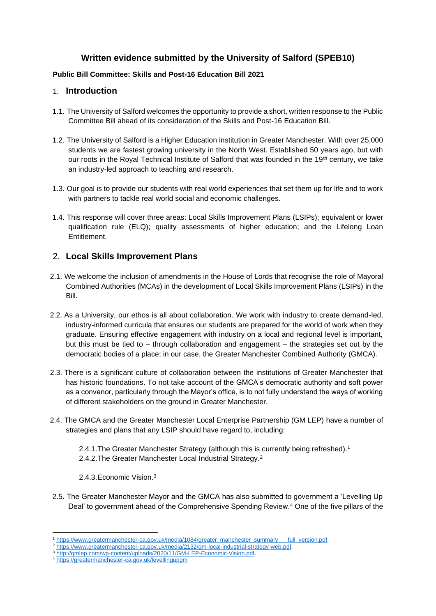# **Written evidence submitted by the University of Salford (SPEB10)**

#### **Public Bill Committee: Skills and Post-16 Education Bill 2021**

## 1. **Introduction**

- 1.1. The University of Salford welcomes the opportunity to provide a short, written response to the Public Committee Bill ahead of its consideration of the Skills and Post-16 Education Bill.
- 1.2. The University of Salford is a Higher Education institution in Greater Manchester. With over 25,000 students we are fastest growing university in the North West. Established 50 years ago, but with our roots in the Royal Technical Institute of Salford that was founded in the 19<sup>th</sup> century, we take an industry-led approach to teaching and research.
- 1.3. Our goal is to provide our students with real world experiences that set them up for life and to work with partners to tackle real world social and economic challenges.
- 1.4. This response will cover three areas: Local Skills Improvement Plans (LSIPs); equivalent or lower qualification rule (ELQ); quality assessments of higher education; and the Lifelong Loan Entitlement.

## 2. **Local Skills Improvement Plans**

- 2.1. We welcome the inclusion of amendments in the House of Lords that recognise the role of Mayoral Combined Authorities (MCAs) in the development of Local Skills Improvement Plans (LSIPs) in the Bill.
- 2.2. As a University, our ethos is all about collaboration. We work with industry to create demand-led, industry-informed curricula that ensures our students are prepared for the world of work when they graduate. Ensuring effective engagement with industry on a local and regional level is important, but this must be tied to – through collaboration and engagement – the strategies set out by the democratic bodies of a place; in our case, the Greater Manchester Combined Authority (GMCA).
- 2.3. There is a significant culture of collaboration between the institutions of Greater Manchester that has historic foundations. To not take account of the GMCA's democratic authority and soft power as a convenor, particularly through the Mayor's office, is to not fully understand the ways of working of different stakeholders on the ground in Greater Manchester.
- 2.4. The GMCA and the Greater Manchester Local Enterprise Partnership (GM LEP) have a number of strategies and plans that any LSIP should have regard to, including:
	- 2.4.1.The Greater Manchester Strategy (although this is currently being refreshed). 1
	- 2.4.2. The Greater Manchester Local Industrial Strategy.<sup>2</sup>
	- 2.4.3.Economic Vision. 3
- 2.5. The Greater Manchester Mayor and the GMCA has also submitted to government a 'Levelling Up Deal' to government ahead of the Comprehensive Spending Review.<sup>4</sup> One of the five pillars of the

<sup>1</sup> [https://www.greatermanchester-ca.gov.uk/media/1084/greater\\_manchester\\_summary\\_\\_\\_full\\_version.pdf](https://www.greatermanchester-ca.gov.uk/media/1084/greater_manchester_summary___full_version.pdf)

<sup>2</sup> [https://www.greatermanchester-ca.gov.uk/media/2132/gm-local-industrial-strategy-web.pdf.](https://www.greatermanchester-ca.gov.uk/media/2132/gm-local-industrial-strategy-web.pdf)

<sup>&</sup>lt;sup>3</sup> [http://gmlep.com/wp-content/uploads/2020/11/GM-LEP-Economic-Vision.pdf.](http://gmlep.com/wp-content/uploads/2020/11/GM-LEP-Economic-Vision.pdf)

<sup>4</sup> <https://greatermanchester-ca.gov.uk/levellingupgm>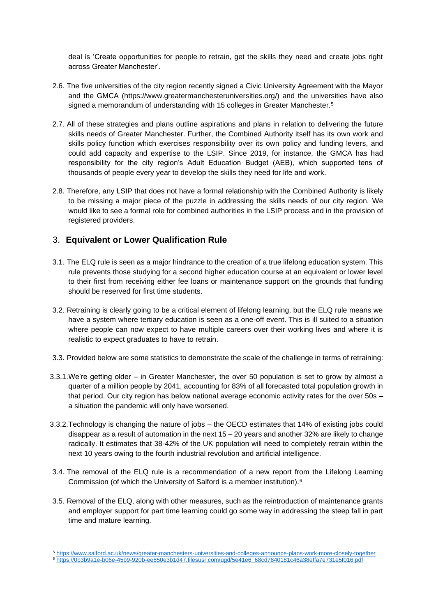deal is 'Create opportunities for people to retrain, get the skills they need and create jobs right across Greater Manchester'.

- 2.6. The five universities of the city region recently signed a Civic University Agreement with the Mayor and the GMCA (https://www.greatermanchesteruniversities.org/) and the universities have also signed a memorandum of understanding with 15 colleges in Greater Manchester.<sup>5</sup>
- 2.7. All of these strategies and plans outline aspirations and plans in relation to delivering the future skills needs of Greater Manchester. Further, the Combined Authority itself has its own work and skills policy function which exercises responsibility over its own policy and funding levers, and could add capacity and expertise to the LSIP. Since 2019, for instance, the GMCA has had responsibility for the city region's Adult Education Budget (AEB), which supported tens of thousands of people every year to develop the skills they need for life and work.
- 2.8. Therefore, any LSIP that does not have a formal relationship with the Combined Authority is likely to be missing a major piece of the puzzle in addressing the skills needs of our city region. We would like to see a formal role for combined authorities in the LSIP process and in the provision of registered providers.

## 3. **Equivalent or Lower Qualification Rule**

- 3.1. The ELQ rule is seen as a major hindrance to the creation of a true lifelong education system. This rule prevents those studying for a second higher education course at an equivalent or lower level to their first from receiving either fee loans or maintenance support on the grounds that funding should be reserved for first time students.
- 3.2. Retraining is clearly going to be a critical element of lifelong learning, but the ELQ rule means we have a system where tertiary education is seen as a one-off event. This is ill suited to a situation where people can now expect to have multiple careers over their working lives and where it is realistic to expect graduates to have to retrain.
- 3.3. Provided below are some statistics to demonstrate the scale of the challenge in terms of retraining:
- 3.3.1.We're getting older in Greater Manchester, the over 50 population is set to grow by almost a quarter of a million people by 2041, accounting for 83% of all forecasted total population growth in that period. Our city region has below national average economic activity rates for the over 50s – a situation the pandemic will only have worsened.
- 3.3.2.Technology is changing the nature of jobs the OECD estimates that 14% of existing jobs could disappear as a result of automation in the next 15 – 20 years and another 32% are likely to change radically. It estimates that 38-42% of the UK population will need to completely retrain within the next 10 years owing to the fourth industrial revolution and artificial intelligence.
- 3.4. The removal of the ELQ rule is a recommendation of a new report from the Lifelong Learning Commission (of which the University of Salford is a member institution).<sup>6</sup>
- 3.5. Removal of the ELQ, along with other measures, such as the reintroduction of maintenance grants and employer support for part time learning could go some way in addressing the steep fall in part time and mature learning.

<sup>5</sup> <https://www.salford.ac.uk/news/greater-manchesters-universities-and-colleges-announce-plans-work-more-closely-together>

<sup>6</sup> [https://0b3b9a1e-b06e-45b9-920b-ee850e3b1d47.filesusr.com/ugd/5e41e6\\_68cd7840181c46a38effa7e731e5f016.pdf](https://0b3b9a1e-b06e-45b9-920b-ee850e3b1d47.filesusr.com/ugd/5e41e6_68cd7840181c46a38effa7e731e5f016.pdf)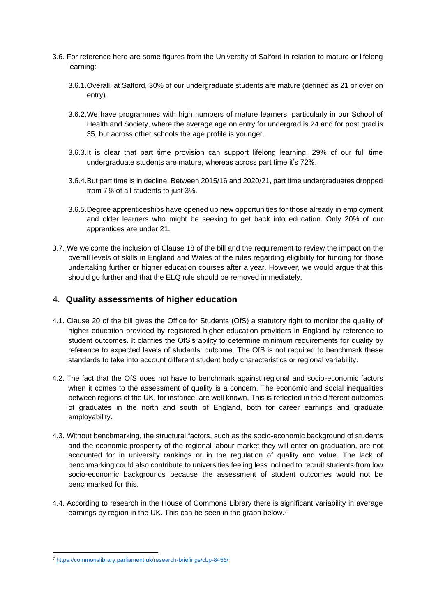- 3.6. For reference here are some figures from the University of Salford in relation to mature or lifelong learning:
	- 3.6.1.Overall, at Salford, 30% of our undergraduate students are mature (defined as 21 or over on entry).
	- 3.6.2.We have programmes with high numbers of mature learners, particularly in our School of Health and Society, where the average age on entry for undergrad is 24 and for post grad is 35, but across other schools the age profile is younger.
	- 3.6.3.It is clear that part time provision can support lifelong learning. 29% of our full time undergraduate students are mature, whereas across part time it's 72%.
	- 3.6.4.But part time is in decline. Between 2015/16 and 2020/21, part time undergraduates dropped from 7% of all students to just 3%.
	- 3.6.5.Degree apprenticeships have opened up new opportunities for those already in employment and older learners who might be seeking to get back into education. Only 20% of our apprentices are under 21.
- 3.7. We welcome the inclusion of Clause 18 of the bill and the requirement to review the impact on the overall levels of skills in England and Wales of the rules regarding eligibility for funding for those undertaking further or higher education courses after a year. However, we would argue that this should go further and that the ELQ rule should be removed immediately.

## 4. **Quality assessments of higher education**

- 4.1. Clause 20 of the bill gives the Office for Students (OfS) a statutory right to monitor the quality of higher education provided by registered higher education providers in England by reference to student outcomes. It clarifies the OfS's ability to determine minimum requirements for quality by reference to expected levels of students' outcome. The OfS is not required to benchmark these standards to take into account different student body characteristics or regional variability.
- 4.2. The fact that the OfS does not have to benchmark against regional and socio-economic factors when it comes to the assessment of quality is a concern. The economic and social inequalities between regions of the UK, for instance, are well known. This is reflected in the different outcomes of graduates in the north and south of England, both for career earnings and graduate employability.
- 4.3. Without benchmarking, the structural factors, such as the socio-economic background of students and the economic prosperity of the regional labour market they will enter on graduation, are not accounted for in university rankings or in the regulation of quality and value. The lack of benchmarking could also contribute to universities feeling less inclined to recruit students from low socio-economic backgrounds because the assessment of student outcomes would not be benchmarked for this.
- 4.4. According to research in the House of Commons Library there is significant variability in average earnings by region in the UK. This can be seen in the graph below.<sup>7</sup>

<sup>7</sup> <https://commonslibrary.parliament.uk/research-briefings/cbp-8456/>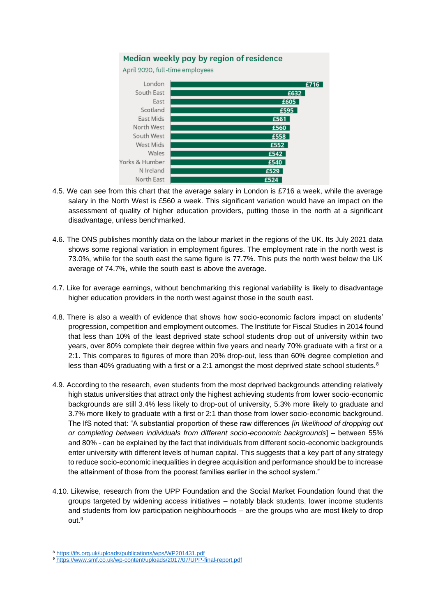

- 4.5. We can see from this chart that the average salary in London is £716 a week, while the average salary in the North West is £560 a week. This significant variation would have an impact on the assessment of quality of higher education providers, putting those in the north at a significant disadvantage, unless benchmarked.
- 4.6. The ONS publishes monthly data on the labour market in the regions of the UK. Its July 2021 data shows some regional variation in employment figures. The employment rate in the north west is 73.0%, while for the south east the same figure is 77.7%. This puts the north west below the UK average of 74.7%, while the south east is above the average.
- 4.7. Like for average earnings, without benchmarking this regional variability is likely to disadvantage higher education providers in the north west against those in the south east.
- 4.8. There is also a wealth of evidence that shows how socio-economic factors impact on students' progression, competition and employment outcomes. The Institute for Fiscal Studies in 2014 found that less than 10% of the least deprived state school students drop out of university within two years, over 80% complete their degree within five years and nearly 70% graduate with a first or a 2:1. This compares to figures of more than 20% drop-out, less than 60% degree completion and less than 40% graduating with a first or a 2:1 amongst the most deprived state school students. $8$
- 4.9. According to the research, even students from the most deprived backgrounds attending relatively high status universities that attract only the highest achieving students from lower socio-economic backgrounds are still 3.4% less likely to drop-out of university, 5.3% more likely to graduate and 3.7% more likely to graduate with a first or 2:1 than those from lower socio-economic background. The IfS noted that: "A substantial proportion of these raw differences *[in likelihood of dropping out or completing between individuals from different socio-economic backgrounds*] – between 55% and 80% - can be explained by the fact that individuals from different socio-economic backgrounds enter university with different levels of human capital. This suggests that a key part of any strategy to reduce socio-economic inequalities in degree acquisition and performance should be to increase the attainment of those from the poorest families earlier in the school system."
- 4.10. Likewise, research from the UPP Foundation and the Social Market Foundation found that the groups targeted by widening access initiatives – notably black students, lower income students and students from low participation neighbourhoods – are the groups who are most likely to drop out.<sup>9</sup>

<sup>8</sup> <https://ifs.org.uk/uploads/publications/wps/WP201431.pdf>

<sup>9</sup> <https://www.smf.co.uk/wp-content/uploads/2017/07/UPP-final-report.pdf>